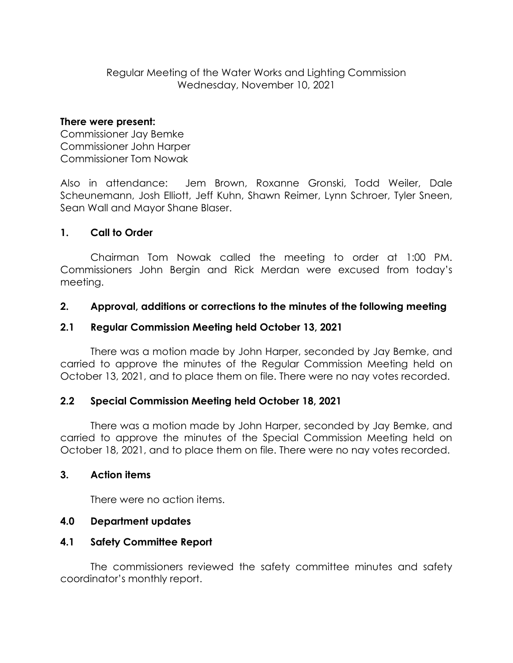Regular Meeting of the Water Works and Lighting Commission Wednesday, November 10, 2021

#### **There were present:**

Commissioner Jay Bemke Commissioner John Harper Commissioner Tom Nowak

Also in attendance: Jem Brown, Roxanne Gronski, Todd Weiler, Dale Scheunemann, Josh Elliott, Jeff Kuhn, Shawn Reimer, Lynn Schroer, Tyler Sneen, Sean Wall and Mayor Shane Blaser.

## **1. Call to Order**

Chairman Tom Nowak called the meeting to order at 1:00 PM. Commissioners John Bergin and Rick Merdan were excused from today's meeting.

### **2. Approval, additions or corrections to the minutes of the following meeting**

## **2.1 Regular Commission Meeting held October 13, 2021**

There was a motion made by John Harper, seconded by Jay Bemke, and carried to approve the minutes of the Regular Commission Meeting held on October 13, 2021, and to place them on file. There were no nay votes recorded.

### **2.2 Special Commission Meeting held October 18, 2021**

There was a motion made by John Harper, seconded by Jay Bemke, and carried to approve the minutes of the Special Commission Meeting held on October 18, 2021, and to place them on file. There were no nay votes recorded.

### **3. Action items**

There were no action items.

### **4.0 Department updates**

### **4.1 Safety Committee Report**

The commissioners reviewed the safety committee minutes and safety coordinator's monthly report.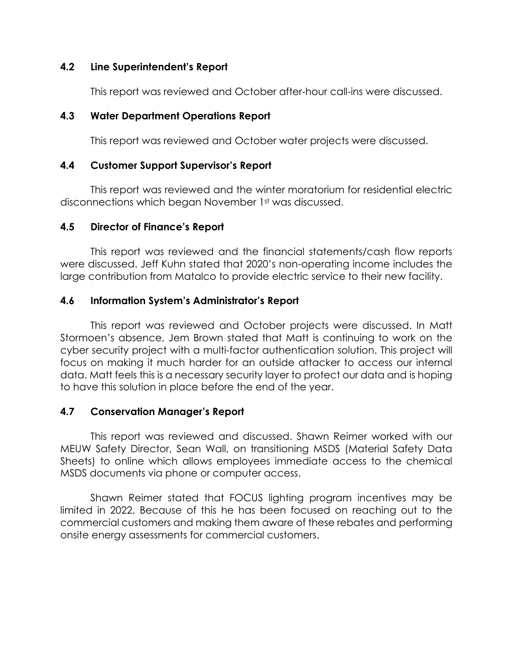#### **4.2 Line Superintendent's Report**

This report was reviewed and October after-hour call-ins were discussed.

### **4.3 Water Department Operations Report**

This report was reviewed and October water projects were discussed.

## **4.4 Customer Support Supervisor's Report**

This report was reviewed and the winter moratorium for residential electric disconnections which began November 1st was discussed.

## **4.5 Director of Finance's Report**

This report was reviewed and the financial statements/cash flow reports were discussed. Jeff Kuhn stated that 2020's non-operating income includes the large contribution from Matalco to provide electric service to their new facility.

## **4.6 Information System's Administrator's Report**

This report was reviewed and October projects were discussed. In Matt Stormoen's absence, Jem Brown stated that Matt is continuing to work on the cyber security project with a multi-factor authentication solution. This project will focus on making it much harder for an outside attacker to access our internal data. Matt feels this is a necessary security layer to protect our data and is hoping to have this solution in place before the end of the year.

# **4.7 Conservation Manager's Report**

This report was reviewed and discussed. Shawn Reimer worked with our MEUW Safety Director, Sean Wall, on transitioning MSDS (Material Safety Data Sheets) to online which allows employees immediate access to the chemical MSDS documents via phone or computer access.

Shawn Reimer stated that FOCUS lighting program incentives may be limited in 2022. Because of this he has been focused on reaching out to the commercial customers and making them aware of these rebates and performing onsite energy assessments for commercial customers.